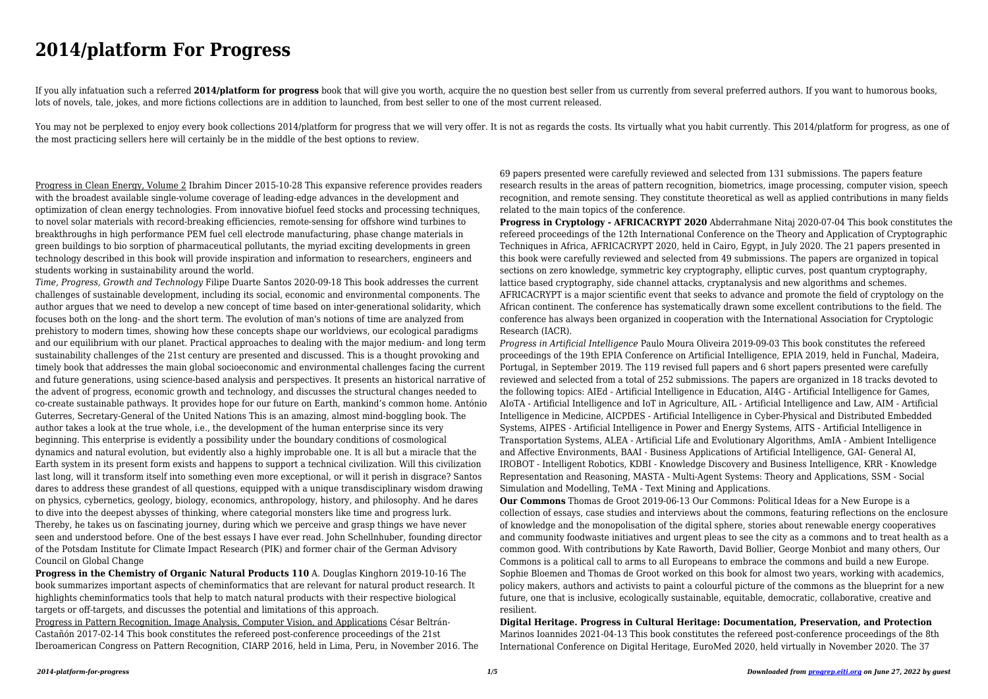## **2014/platform For Progress**

If you ally infatuation such a referred **2014/platform for progress** book that will give you worth, acquire the no question best seller from us currently from several preferred authors. If you want to humorous books, lots of novels, tale, jokes, and more fictions collections are in addition to launched, from best seller to one of the most current released.

You may not be perplexed to enjoy every book collections 2014/platform for progress that we will very offer. It is not as regards the costs. Its virtually what you habit currently. This 2014/platform for progress, as one o the most practicing sellers here will certainly be in the middle of the best options to review.

Progress in Clean Energy, Volume 2 Ibrahim Dincer 2015-10-28 This expansive reference provides readers with the broadest available single-volume coverage of leading-edge advances in the development and optimization of clean energy technologies. From innovative biofuel feed stocks and processing techniques, to novel solar materials with record-breaking efficiencies, remote-sensing for offshore wind turbines to breakthroughs in high performance PEM fuel cell electrode manufacturing, phase change materials in green buildings to bio sorption of pharmaceutical pollutants, the myriad exciting developments in green technology described in this book will provide inspiration and information to researchers, engineers and students working in sustainability around the world.

*Time, Progress, Growth and Technology* Filipe Duarte Santos 2020-09-18 This book addresses the current challenges of sustainable development, including its social, economic and environmental components. The author argues that we need to develop a new concept of time based on inter-generational solidarity, which focuses both on the long- and the short term. The evolution of man's notions of time are analyzed from prehistory to modern times, showing how these concepts shape our worldviews, our ecological paradigms and our equilibrium with our planet. Practical approaches to dealing with the major medium- and long term sustainability challenges of the 21st century are presented and discussed. This is a thought provoking and timely book that addresses the main global socioeconomic and environmental challenges facing the current and future generations, using science-based analysis and perspectives. It presents an historical narrative of the advent of progress, economic growth and technology, and discusses the structural changes needed to co-create sustainable pathways. It provides hope for our future on Earth, mankind's common home. António Guterres, Secretary-General of the United Nations This is an amazing, almost mind-boggling book. The author takes a look at the true whole, i.e., the development of the human enterprise since its very beginning. This enterprise is evidently a possibility under the boundary conditions of cosmological dynamics and natural evolution, but evidently also a highly improbable one. It is all but a miracle that the Earth system in its present form exists and happens to support a technical civilization. Will this civilization last long, will it transform itself into something even more exceptional, or will it perish in disgrace? Santos dares to address these grandest of all questions, equipped with a unique transdisciplinary wisdom drawing on physics, cybernetics, geology, biology, economics, anthropology, history, and philosophy. And he dares to dive into the deepest abysses of thinking, where categorial monsters like time and progress lurk. Thereby, he takes us on fascinating journey, during which we perceive and grasp things we have never seen and understood before. One of the best essays I have ever read. John Schellnhuber, founding director of the Potsdam Institute for Climate Impact Research (PIK) and former chair of the German Advisory Council on Global Change

**Progress in the Chemistry of Organic Natural Products 110** A. Douglas Kinghorn 2019-10-16 The book summarizes important aspects of cheminformatics that are relevant for natural product research. It highlights cheminformatics tools that help to match natural products with their respective biological targets or off-targets, and discusses the potential and limitations of this approach.

Progress in Pattern Recognition, Image Analysis, Computer Vision, and Applications César Beltrán-Castañón 2017-02-14 This book constitutes the refereed post-conference proceedings of the 21st Iberoamerican Congress on Pattern Recognition, CIARP 2016, held in Lima, Peru, in November 2016. The

69 papers presented were carefully reviewed and selected from 131 submissions. The papers feature research results in the areas of pattern recognition, biometrics, image processing, computer vision, speech recognition, and remote sensing. They constitute theoretical as well as applied contributions in many fields related to the main topics of the conference.

**Progress in Cryptology - AFRICACRYPT 2020** Abderrahmane Nitaj 2020-07-04 This book constitutes the refereed proceedings of the 12th International Conference on the Theory and Application of Cryptographic Techniques in Africa, AFRICACRYPT 2020, held in Cairo, Egypt, in July 2020. The 21 papers presented in this book were carefully reviewed and selected from 49 submissions. The papers are organized in topical sections on zero knowledge, symmetric key cryptography, elliptic curves, post quantum cryptography, lattice based cryptography, side channel attacks, cryptanalysis and new algorithms and schemes. AFRICACRYPT is a major scientific event that seeks to advance and promote the field of cryptology on the African continent. The conference has systematically drawn some excellent contributions to the field. The conference has always been organized in cooperation with the International Association for Cryptologic Research (IACR).

*Progress in Artificial Intelligence* Paulo Moura Oliveira 2019-09-03 This book constitutes the refereed proceedings of the 19th EPIA Conference on Artificial Intelligence, EPIA 2019, held in Funchal, Madeira, Portugal, in September 2019. The 119 revised full papers and 6 short papers presented were carefully reviewed and selected from a total of 252 submissions. The papers are organized in 18 tracks devoted to the following topics: AIEd - Artificial Intelligence in Education, AI4G - Artificial Intelligence for Games, AIoTA - Artificial Intelligence and IoT in Agriculture, AIL - Artificial Intelligence and Law, AIM - Artificial Intelligence in Medicine, AICPDES - Artificial Intelligence in Cyber-Physical and Distributed Embedded Systems, AIPES - Artificial Intelligence in Power and Energy Systems, AITS - Artificial Intelligence in Transportation Systems, ALEA - Artificial Life and Evolutionary Algorithms, AmIA - Ambient Intelligence and Affective Environments, BAAI - Business Applications of Artificial Intelligence, GAI- General AI, IROBOT - Intelligent Robotics, KDBI - Knowledge Discovery and Business Intelligence, KRR - Knowledge Representation and Reasoning, MASTA - Multi-Agent Systems: Theory and Applications, SSM - Social Simulation and Modelling, TeMA - Text Mining and Applications. **Our Commons** Thomas de Groot 2019-06-13 Our Commons: Political Ideas for a New Europe is a collection of essays, case studies and interviews about the commons, featuring reflections on the enclosure of knowledge and the monopolisation of the digital sphere, stories about renewable energy cooperatives and community foodwaste initiatives and urgent pleas to see the city as a commons and to treat health as a common good. With contributions by Kate Raworth, David Bollier, George Monbiot and many others, Our Commons is a political call to arms to all Europeans to embrace the commons and build a new Europe. Sophie Bloemen and Thomas de Groot worked on this book for almost two years, working with academics, policy makers, authors and activists to paint a colourful picture of the commons as the blueprint for a new future, one that is inclusive, ecologically sustainable, equitable, democratic, collaborative, creative and resilient.

**Digital Heritage. Progress in Cultural Heritage: Documentation, Preservation, and Protection** Marinos Ioannides 2021-04-13 This book constitutes the refereed post-conference proceedings of the 8th International Conference on Digital Heritage, EuroMed 2020, held virtually in November 2020. The 37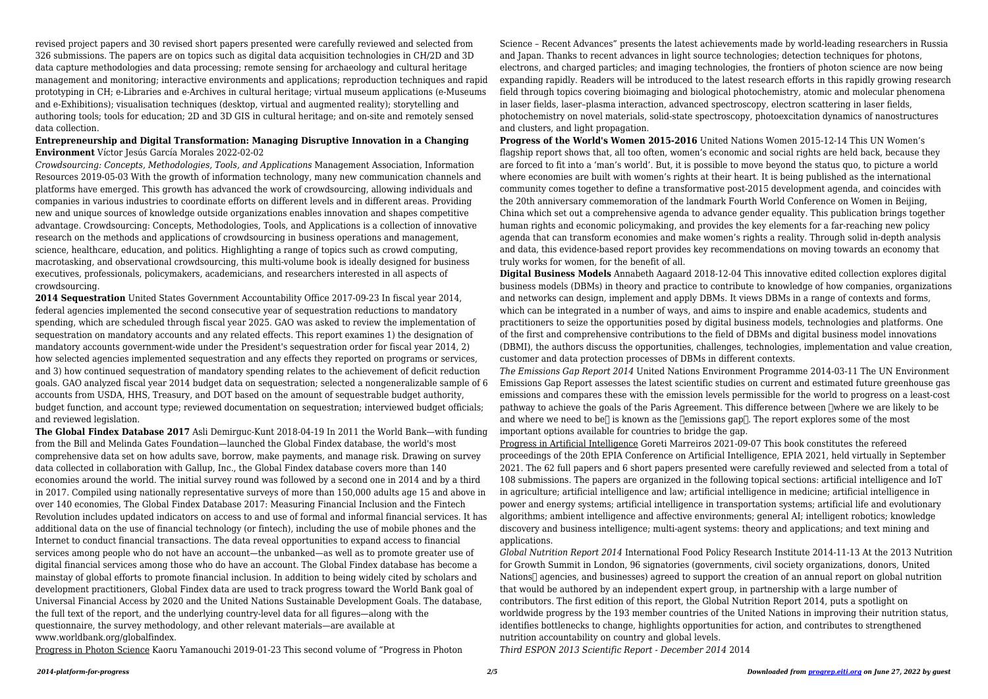revised project papers and 30 revised short papers presented were carefully reviewed and selected from 326 submissions. The papers are on topics such as digital data acquisition technologies in CH/2D and 3D data capture methodologies and data processing; remote sensing for archaeology and cultural heritage management and monitoring; interactive environments and applications; reproduction techniques and rapid prototyping in CH; e-Libraries and e-Archives in cultural heritage; virtual museum applications (e-Museums and e-Exhibitions); visualisation techniques (desktop, virtual and augmented reality); storytelling and authoring tools; tools for education; 2D and 3D GIS in cultural heritage; and on-site and remotely sensed data collection.

## **Entrepreneurship and Digital Transformation: Managing Disruptive Innovation in a Changing Environment** Víctor Jesús García Morales 2022-02-02

*Crowdsourcing: Concepts, Methodologies, Tools, and Applications* Management Association, Information Resources 2019-05-03 With the growth of information technology, many new communication channels and platforms have emerged. This growth has advanced the work of crowdsourcing, allowing individuals and companies in various industries to coordinate efforts on different levels and in different areas. Providing new and unique sources of knowledge outside organizations enables innovation and shapes competitive advantage. Crowdsourcing: Concepts, Methodologies, Tools, and Applications is a collection of innovative research on the methods and applications of crowdsourcing in business operations and management, science, healthcare, education, and politics. Highlighting a range of topics such as crowd computing, macrotasking, and observational crowdsourcing, this multi-volume book is ideally designed for business executives, professionals, policymakers, academicians, and researchers interested in all aspects of crowdsourcing.

**2014 Sequestration** United States Government Accountability Office 2017-09-23 In fiscal year 2014, federal agencies implemented the second consecutive year of sequestration reductions to mandatory spending, which are scheduled through fiscal year 2025. GAO was asked to review the implementation of sequestration on mandatory accounts and any related effects. This report examines 1) the designation of mandatory accounts government-wide under the President's sequestration order for fiscal year 2014, 2) how selected agencies implemented sequestration and any effects they reported on programs or services, and 3) how continued sequestration of mandatory spending relates to the achievement of deficit reduction goals. GAO analyzed fiscal year 2014 budget data on sequestration; selected a nongeneralizable sample of 6 accounts from USDA, HHS, Treasury, and DOT based on the amount of sequestrable budget authority, budget function, and account type; reviewed documentation on sequestration; interviewed budget officials; and reviewed legislation.

**The Global Findex Database 2017** Asli Demirguc-Kunt 2018-04-19 In 2011 the World Bank—with funding from the Bill and Melinda Gates Foundation—launched the Global Findex database, the world's most comprehensive data set on how adults save, borrow, make payments, and manage risk. Drawing on survey data collected in collaboration with Gallup, Inc., the Global Findex database covers more than 140 economies around the world. The initial survey round was followed by a second one in 2014 and by a third in 2017. Compiled using nationally representative surveys of more than 150,000 adults age 15 and above in over 140 economies, The Global Findex Database 2017: Measuring Financial Inclusion and the Fintech Revolution includes updated indicators on access to and use of formal and informal financial services. It has additional data on the use of financial technology (or fintech), including the use of mobile phones and the Internet to conduct financial transactions. The data reveal opportunities to expand access to financial services among people who do not have an account—the unbanked—as well as to promote greater use of digital financial services among those who do have an account. The Global Findex database has become a mainstay of global efforts to promote financial inclusion. In addition to being widely cited by scholars and development practitioners, Global Findex data are used to track progress toward the World Bank goal of Universal Financial Access by 2020 and the United Nations Sustainable Development Goals. The database, the full text of the report, and the underlying country-level data for all figures—along with the questionnaire, the survey methodology, and other relevant materials—are available at www.worldbank.org/globalfindex.

Progress in Photon Science Kaoru Yamanouchi 2019-01-23 This second volume of "Progress in Photon

Science – Recent Advances" presents the latest achievements made by world-leading researchers in Russia and Japan. Thanks to recent advances in light source technologies; detection techniques for photons, electrons, and charged particles; and imaging technologies, the frontiers of photon science are now being expanding rapidly. Readers will be introduced to the latest research efforts in this rapidly growing research field through topics covering bioimaging and biological photochemistry, atomic and molecular phenomena in laser fields, laser–plasma interaction, advanced spectroscopy, electron scattering in laser fields, photochemistry on novel materials, solid-state spectroscopy, photoexcitation dynamics of nanostructures and clusters, and light propagation.

**Progress of the World's Women 2015-2016** United Nations Women 2015-12-14 This UN Women's flagship report shows that, all too often, women's economic and social rights are held back, because they are forced to fit into a 'man's world'. But, it is possible to move beyond the status quo, to picture a world where economies are built with women's rights at their heart. It is being published as the international community comes together to define a transformative post-2015 development agenda, and coincides with the 20th anniversary commemoration of the landmark Fourth World Conference on Women in Beijing, China which set out a comprehensive agenda to advance gender equality. This publication brings together human rights and economic policymaking, and provides the key elements for a far-reaching new policy agenda that can transform economies and make women's rights a reality. Through solid in-depth analysis and data, this evidence-based report provides key recommendations on moving towards an economy that truly works for women, for the benefit of all.

**Digital Business Models** Annabeth Aagaard 2018-12-04 This innovative edited collection explores digital business models (DBMs) in theory and practice to contribute to knowledge of how companies, organizations and networks can design, implement and apply DBMs. It views DBMs in a range of contexts and forms, which can be integrated in a number of ways, and aims to inspire and enable academics, students and practitioners to seize the opportunities posed by digital business models, technologies and platforms. One of the first and comprehensive contributions to the field of DBMs and digital business model innovations (DBMI), the authors discuss the opportunities, challenges, technologies, implementation and value creation, customer and data protection processes of DBMs in different contexts. *The Emissions Gap Report 2014* United Nations Environment Programme 2014-03-11 The UN Environment Emissions Gap Report assesses the latest scientific studies on current and estimated future greenhouse gas emissions and compares these with the emission levels permissible for the world to progress on a least-cost pathway to achieve the goals of the Paris Agreement. This difference between  $\Box$ where we are likely to be and where we need to be $\lceil \cdot \rceil$  is known as the  $\lceil \cdot \rceil$  emissions gap $\lceil \cdot \rceil$ . The report explores some of the most important options available for countries to bridge the gap. Progress in Artificial Intelligence Goreti Marreiros 2021-09-07 This book constitutes the refereed proceedings of the 20th EPIA Conference on Artificial Intelligence, EPIA 2021, held virtually in September 2021. The 62 full papers and 6 short papers presented were carefully reviewed and selected from a total of 108 submissions. The papers are organized in the following topical sections: artificial intelligence and IoT in agriculture; artificial intelligence and law; artificial intelligence in medicine; artificial intelligence in power and energy systems; artificial intelligence in transportation systems; artificial life and evolutionary algorithms; ambient intelligence and affective environments; general AI; intelligent robotics; knowledge discovery and business intelligence; multi-agent systems: theory and applications; and text mining and applications.

*Global Nutrition Report 2014* International Food Policy Research Institute 2014-11-13 At the 2013 Nutrition for Growth Summit in London, 96 signatories (governments, civil society organizations, donors, United Nations agencies, and businesses) agreed to support the creation of an annual report on global nutrition that would be authored by an independent expert group, in partnership with a large number of contributors. The first edition of this report, the Global Nutrition Report 2014, puts a spotlight on worldwide progress by the 193 member countries of the United Nations in improving their nutrition status, identifies bottlenecks to change, highlights opportunities for action, and contributes to strengthened nutrition accountability on country and global levels. *Third ESPON 2013 Scientific Report - December 2014* 2014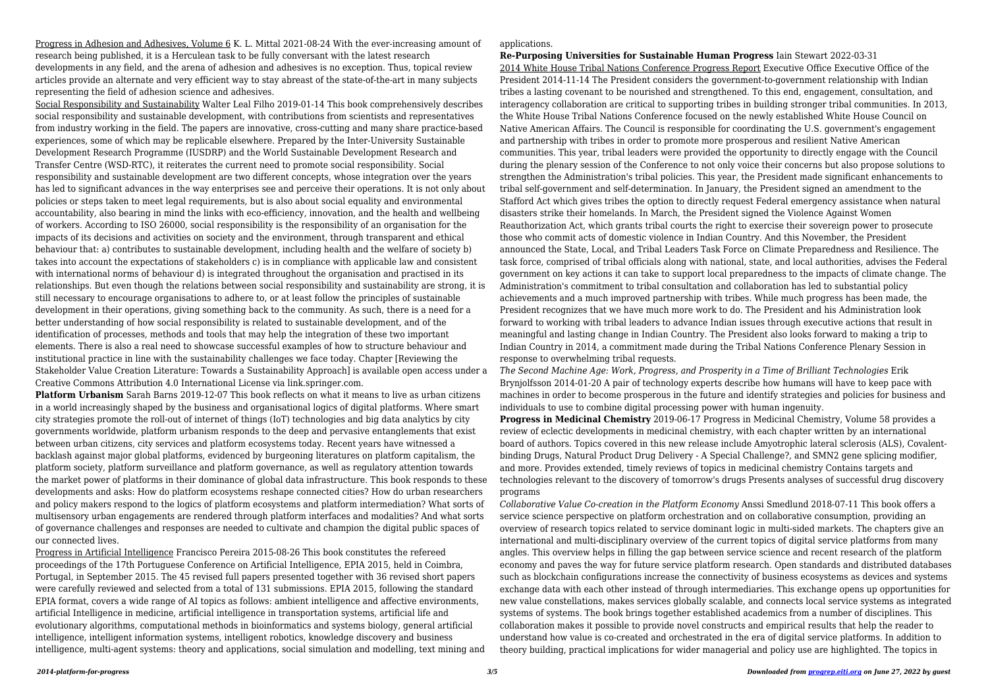Progress in Adhesion and Adhesives, Volume 6 K. L. Mittal 2021-08-24 With the ever-increasing amount of research being published, it is a Herculean task to be fully conversant with the latest research developments in any field, and the arena of adhesion and adhesives is no exception. Thus, topical review articles provide an alternate and very efficient way to stay abreast of the state-of-the-art in many subjects representing the field of adhesion science and adhesives.

Social Responsibility and Sustainability Walter Leal Filho 2019-01-14 This book comprehensively describes social responsibility and sustainable development, with contributions from scientists and representatives from industry working in the field. The papers are innovative, cross-cutting and many share practice-based experiences, some of which may be replicable elsewhere. Prepared by the Inter-University Sustainable Development Research Programme (IUSDRP) and the World Sustainable Development Research and Transfer Centre (WSD-RTC), it reiterates the current need to promote social responsibility. Social responsibility and sustainable development are two different concepts, whose integration over the years has led to significant advances in the way enterprises see and perceive their operations. It is not only about policies or steps taken to meet legal requirements, but is also about social equality and environmental accountability, also bearing in mind the links with eco-efficiency, innovation, and the health and wellbeing of workers. According to ISO 26000, social responsibility is the responsibility of an organisation for the impacts of its decisions and activities on society and the environment, through transparent and ethical behaviour that: a) contributes to sustainable development, including health and the welfare of society b) takes into account the expectations of stakeholders c) is in compliance with applicable law and consistent with international norms of behaviour d) is integrated throughout the organisation and practised in its relationships. But even though the relations between social responsibility and sustainability are strong, it is still necessary to encourage organisations to adhere to, or at least follow the principles of sustainable development in their operations, giving something back to the community. As such, there is a need for a better understanding of how social responsibility is related to sustainable development, and of the identification of processes, methods and tools that may help the integration of these two important elements. There is also a real need to showcase successful examples of how to structure behaviour and institutional practice in line with the sustainability challenges we face today. Chapter [Reviewing the Stakeholder Value Creation Literature: Towards a Sustainability Approach] is available open access under a Creative Commons Attribution 4.0 International License via link.springer.com.

**Platform Urbanism** Sarah Barns 2019-12-07 This book reflects on what it means to live as urban citizens in a world increasingly shaped by the business and organisational logics of digital platforms. Where smart city strategies promote the roll-out of internet of things (IoT) technologies and big data analytics by city governments worldwide, platform urbanism responds to the deep and pervasive entanglements that exist between urban citizens, city services and platform ecosystems today. Recent years have witnessed a backlash against major global platforms, evidenced by burgeoning literatures on platform capitalism, the platform society, platform surveillance and platform governance, as well as regulatory attention towards the market power of platforms in their dominance of global data infrastructure. This book responds to these developments and asks: How do platform ecosystems reshape connected cities? How do urban researchers and policy makers respond to the logics of platform ecosystems and platform intermediation? What sorts of multisensory urban engagements are rendered through platform interfaces and modalities? And what sorts of governance challenges and responses are needed to cultivate and champion the digital public spaces of our connected lives.

Progress in Artificial Intelligence Francisco Pereira 2015-08-26 This book constitutes the refereed proceedings of the 17th Portuguese Conference on Artificial Intelligence, EPIA 2015, held in Coimbra, Portugal, in September 2015. The 45 revised full papers presented together with 36 revised short papers were carefully reviewed and selected from a total of 131 submissions. EPIA 2015, following the standard EPIA format, covers a wide range of AI topics as follows: ambient intelligence and affective environments, artificial Intelligence in medicine, artificial intelligence in transportation systems, artificial life and evolutionary algorithms, computational methods in bioinformatics and systems biology, general artificial intelligence, intelligent information systems, intelligent robotics, knowledge discovery and business intelligence, multi-agent systems: theory and applications, social simulation and modelling, text mining and applications.

**Re-Purposing Universities for Sustainable Human Progress** Iain Stewart 2022-03-31 2014 White House Tribal Nations Conference Progress Report Executive Office Executive Office of the President 2014-11-14 The President considers the government-to-government relationship with Indian tribes a lasting covenant to be nourished and strengthened. To this end, engagement, consultation, and interagency collaboration are critical to supporting tribes in building stronger tribal communities. In 2013, the White House Tribal Nations Conference focused on the newly established White House Council on Native American Affairs. The Council is responsible for coordinating the U.S. government's engagement and partnership with tribes in order to promote more prosperous and resilient Native American communities. This year, tribal leaders were provided the opportunity to directly engage with the Council during the plenary session of the Conference to not only voice their concerns but also propose solutions to strengthen the Administration's tribal policies. This year, the President made significant enhancements to tribal self-government and self-determination. In January, the President signed an amendment to the Stafford Act which gives tribes the option to directly request Federal emergency assistance when natural disasters strike their homelands. In March, the President signed the Violence Against Women Reauthorization Act, which grants tribal courts the right to exercise their sovereign power to prosecute those who commit acts of domestic violence in Indian Country. And this November, the President announced the State, Local, and Tribal Leaders Task Force on Climate Preparedness and Resilience. The task force, comprised of tribal officials along with national, state, and local authorities, advises the Federal government on key actions it can take to support local preparedness to the impacts of climate change. The Administration's commitment to tribal consultation and collaboration has led to substantial policy achievements and a much improved partnership with tribes. While much progress has been made, the President recognizes that we have much more work to do. The President and his Administration look forward to working with tribal leaders to advance Indian issues through executive actions that result in meaningful and lasting change in Indian Country. The President also looks forward to making a trip to Indian Country in 2014, a commitment made during the Tribal Nations Conference Plenary Session in response to overwhelming tribal requests.

*The Second Machine Age: Work, Progress, and Prosperity in a Time of Brilliant Technologies* Erik Brynjolfsson 2014-01-20 A pair of technology experts describe how humans will have to keep pace with machines in order to become prosperous in the future and identify strategies and policies for business and individuals to use to combine digital processing power with human ingenuity. **Progress in Medicinal Chemistry** 2019-06-17 Progress in Medicinal Chemistry, Volume 58 provides a review of eclectic developments in medicinal chemistry, with each chapter written by an international board of authors. Topics covered in this new release include Amyotrophic lateral sclerosis (ALS), Covalentbinding Drugs, Natural Product Drug Delivery - A Special Challenge?, and SMN2 gene splicing modifier, and more. Provides extended, timely reviews of topics in medicinal chemistry Contains targets and technologies relevant to the discovery of tomorrow's drugs Presents analyses of successful drug discovery programs

*Collaborative Value Co-creation in the Platform Economy* Anssi Smedlund 2018-07-11 This book offers a service science perspective on platform orchestration and on collaborative consumption, providing an overview of research topics related to service dominant logic in multi-sided markets. The chapters give an international and multi-disciplinary overview of the current topics of digital service platforms from many angles. This overview helps in filling the gap between service science and recent research of the platform economy and paves the way for future service platform research. Open standards and distributed databases such as blockchain configurations increase the connectivity of business ecosystems as devices and systems exchange data with each other instead of through intermediaries. This exchange opens up opportunities for new value constellations, makes services globally scalable, and connects local service systems as integrated systems of systems. The book brings together established academics from a number of disciplines. This collaboration makes it possible to provide novel constructs and empirical results that help the reader to understand how value is co-created and orchestrated in the era of digital service platforms. In addition to theory building, practical implications for wider managerial and policy use are highlighted. The topics in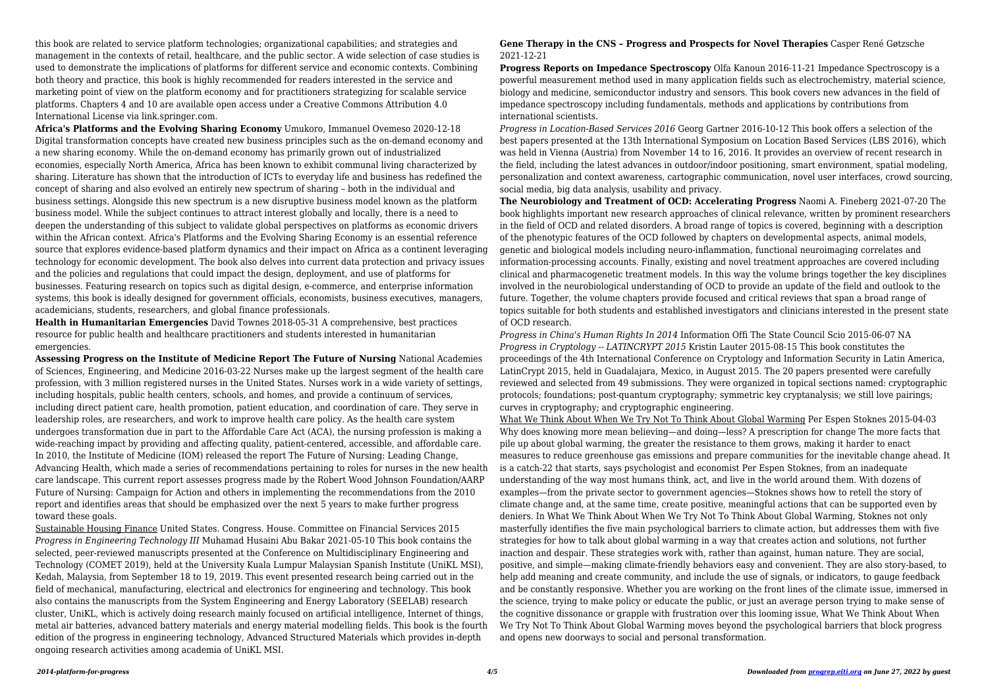this book are related to service platform technologies; organizational capabilities; and strategies and management in the contexts of retail, healthcare, and the public sector. A wide selection of case studies is used to demonstrate the implications of platforms for different service and economic contexts. Combining both theory and practice, this book is highly recommended for readers interested in the service and marketing point of view on the platform economy and for practitioners strategizing for scalable service platforms. Chapters 4 and 10 are available open access under a Creative Commons Attribution 4.0 International License via link.springer.com.

**Africa's Platforms and the Evolving Sharing Economy** Umukoro, Immanuel Ovemeso 2020-12-18 Digital transformation concepts have created new business principles such as the on-demand economy and a new sharing economy. While the on-demand economy has primarily grown out of industrialized economies, especially North America, Africa has been known to exhibit communal living characterized by sharing. Literature has shown that the introduction of ICTs to everyday life and business has redefined the concept of sharing and also evolved an entirely new spectrum of sharing – both in the individual and business settings. Alongside this new spectrum is a new disruptive business model known as the platform business model. While the subject continues to attract interest globally and locally, there is a need to deepen the understanding of this subject to validate global perspectives on platforms as economic drivers within the African context. Africa's Platforms and the Evolving Sharing Economy is an essential reference source that explores evidence-based platform dynamics and their impact on Africa as a continent leveraging technology for economic development. The book also delves into current data protection and privacy issues and the policies and regulations that could impact the design, deployment, and use of platforms for businesses. Featuring research on topics such as digital design, e-commerce, and enterprise information systems, this book is ideally designed for government officials, economists, business executives, managers, academicians, students, researchers, and global finance professionals.

**Health in Humanitarian Emergencies** David Townes 2018-05-31 A comprehensive, best practices resource for public health and healthcare practitioners and students interested in humanitarian emergencies.

**Assessing Progress on the Institute of Medicine Report The Future of Nursing** National Academies of Sciences, Engineering, and Medicine 2016-03-22 Nurses make up the largest segment of the health care profession, with 3 million registered nurses in the United States. Nurses work in a wide variety of settings, including hospitals, public health centers, schools, and homes, and provide a continuum of services, including direct patient care, health promotion, patient education, and coordination of care. They serve in leadership roles, are researchers, and work to improve health care policy. As the health care system undergoes transformation due in part to the Affordable Care Act (ACA), the nursing profession is making a wide-reaching impact by providing and affecting quality, patient-centered, accessible, and affordable care. In 2010, the Institute of Medicine (IOM) released the report The Future of Nursing: Leading Change, Advancing Health, which made a series of recommendations pertaining to roles for nurses in the new health care landscape. This current report assesses progress made by the Robert Wood Johnson Foundation/AARP Future of Nursing: Campaign for Action and others in implementing the recommendations from the 2010 report and identifies areas that should be emphasized over the next 5 years to make further progress toward these goals.

Sustainable Housing Finance United States. Congress. House. Committee on Financial Services 2015 *Progress in Engineering Technology III* Muhamad Husaini Abu Bakar 2021-05-10 This book contains the selected, peer-reviewed manuscripts presented at the Conference on Multidisciplinary Engineering and Technology (COMET 2019), held at the University Kuala Lumpur Malaysian Spanish Institute (UniKL MSI), Kedah, Malaysia, from September 18 to 19, 2019. This event presented research being carried out in the field of mechanical, manufacturing, electrical and electronics for engineering and technology. This book also contains the manuscripts from the System Engineering and Energy Laboratory (SEELAB) research cluster, UniKL, which is actively doing research mainly focused on artificial intelligence, Internet of things, metal air batteries, advanced battery materials and energy material modelling fields. This book is the fourth edition of the progress in engineering technology, Advanced Structured Materials which provides in-depth ongoing research activities among academia of UniKL MSI.

## **Gene Therapy in the CNS – Progress and Prospects for Novel Therapies** Casper René Gøtzsche 2021-12-21

**Progress Reports on Impedance Spectroscopy** Olfa Kanoun 2016-11-21 Impedance Spectroscopy is a powerful measurement method used in many application fields such as electrochemistry, material science, biology and medicine, semiconductor industry and sensors. This book covers new advances in the field of impedance spectroscopy including fundamentals, methods and applications by contributions from international scientists.

*Progress in Location-Based Services 2016* Georg Gartner 2016-10-12 This book offers a selection of the best papers presented at the 13th International Symposium on Location Based Services (LBS 2016), which was held in Vienna (Austria) from November 14 to 16, 2016. It provides an overview of recent research in the field, including the latest advances in outdoor/indoor positioning, smart environment, spatial modeling, personalization and context awareness, cartographic communication, novel user interfaces, crowd sourcing, social media, big data analysis, usability and privacy.

**The Neurobiology and Treatment of OCD: Accelerating Progress** Naomi A. Fineberg 2021-07-20 The book highlights important new research approaches of clinical relevance, written by prominent researchers in the field of OCD and related disorders. A broad range of topics is covered, beginning with a description of the phenotypic features of the OCD followed by chapters on developmental aspects, animal models, genetic and biological models including neuro-inflammation, functional neuroimaging correlates and information-processing accounts. Finally, existing and novel treatment approaches are covered including clinical and pharmacogenetic treatment models. In this way the volume brings together the key disciplines involved in the neurobiological understanding of OCD to provide an update of the field and outlook to the future. Together, the volume chapters provide focused and critical reviews that span a broad range of topics suitable for both students and established investigators and clinicians interested in the present state of OCD research.

*Progress in China's Human Rights In 2014* Information Offi The State Council Scio 2015-06-07 NA *Progress in Cryptology -- LATINCRYPT 2015* Kristin Lauter 2015-08-15 This book constitutes the proceedings of the 4th International Conference on Cryptology and Information Security in Latin America, LatinCrypt 2015, held in Guadalajara, Mexico, in August 2015. The 20 papers presented were carefully reviewed and selected from 49 submissions. They were organized in topical sections named: cryptographic protocols; foundations; post-quantum cryptography; symmetric key cryptanalysis; we still love pairings; curves in cryptography; and cryptographic engineering. What We Think About When We Try Not To Think About Global Warming Per Espen Stoknes 2015-04-03 Why does knowing more mean believing—and doing—less? A prescription for change The more facts that pile up about global warming, the greater the resistance to them grows, making it harder to enact measures to reduce greenhouse gas emissions and prepare communities for the inevitable change ahead. It is a catch-22 that starts, says psychologist and economist Per Espen Stoknes, from an inadequate understanding of the way most humans think, act, and live in the world around them. With dozens of examples—from the private sector to government agencies—Stoknes shows how to retell the story of climate change and, at the same time, create positive, meaningful actions that can be supported even by deniers. In What We Think About When We Try Not To Think About Global Warming, Stoknes not only masterfully identifies the five main psychological barriers to climate action, but addresses them with five strategies for how to talk about global warming in a way that creates action and solutions, not further inaction and despair. These strategies work with, rather than against, human nature. They are social, positive, and simple—making climate-friendly behaviors easy and convenient. They are also story-based, to help add meaning and create community, and include the use of signals, or indicators, to gauge feedback and be constantly responsive. Whether you are working on the front lines of the climate issue, immersed in the science, trying to make policy or educate the public, or just an average person trying to make sense of the cognitive dissonance or grapple with frustration over this looming issue, What We Think About When We Try Not To Think About Global Warming moves beyond the psychological barriers that block progress and opens new doorways to social and personal transformation.